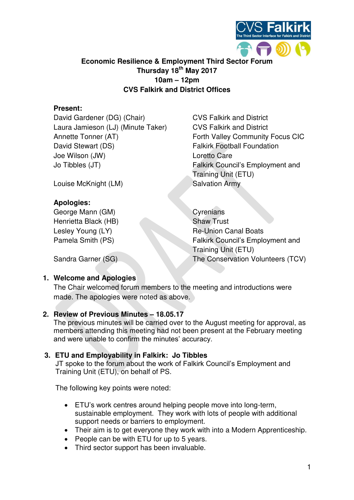

# **Economic Resilience & Employment Third Sector Forum Thursday 18th May 2017 10am – 12pm CVS Falkirk and District Offices**

# **Present:**

David Gardener (DG) (Chair) CVS Falkirk and District Laura Jamieson (LJ) (Minute Taker) CVS Falkirk and District Annette Tonner (AT) Forth Valley Community Focus CIC David Stewart (DS) Falkirk Football Foundation Joe Wilson (JW) Loretto Care Jo Tibbles (JT) Falkirk Council's Employment and

Louise McKnight (LM) Salvation Army

### **Apologies:**

George Mann (GM) Cyrenians Henrietta Black (HB) Shaw Trust

Training Unit (ETU)

Lesley Young (LY) Re-Union Canal Boats Pamela Smith (PS) Falkirk Council's Employment and Training Unit (ETU) Sandra Garner (SG) The Conservation Volunteers (TCV)

# **1. Welcome and Apologies**

The Chair welcomed forum members to the meeting and introductions were made. The apologies were noted as above.

### **2. Review of Previous Minutes – 18.05.17**

The previous minutes will be carried over to the August meeting for approval, as members attending this meeting had not been present at the February meeting and were unable to confirm the minutes' accuracy.

### **3. ETU and Employability in Falkirk: Jo Tibbles**

JT spoke to the forum about the work of Falkirk Council's Employment and Training Unit (ETU), on behalf of PS.

The following key points were noted:

- ETU's work centres around helping people move into long-term, sustainable employment. They work with lots of people with additional support needs or barriers to employment.
- Their aim is to get everyone they work with into a Modern Apprenticeship.
- People can be with ETU for up to 5 years.
- Third sector support has been invaluable.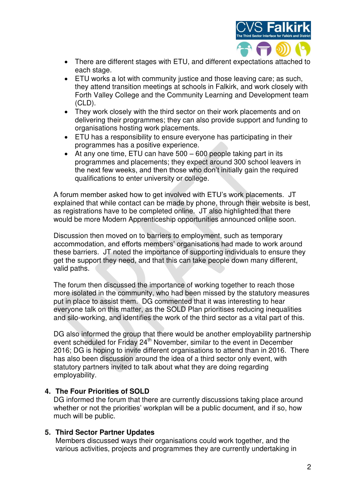

- There are different stages with ETU, and different expectations attached to each stage.
- ETU works a lot with community justice and those leaving care; as such, they attend transition meetings at schools in Falkirk, and work closely with Forth Valley College and the Community Learning and Development team (CLD).
- They work closely with the third sector on their work placements and on delivering their programmes; they can also provide support and funding to organisations hosting work placements.
- ETU has a responsibility to ensure everyone has participating in their programmes has a positive experience.
- At any one time, ETU can have 500 600 people taking part in its programmes and placements; they expect around 300 school leavers in the next few weeks, and then those who don't initially gain the required qualifications to enter university or college.

A forum member asked how to get involved with ETU's work placements. JT explained that while contact can be made by phone, through their website is best, as registrations have to be completed online. JT also highlighted that there would be more Modern Apprenticeship opportunities announced online soon.

Discussion then moved on to barriers to employment, such as temporary accommodation, and efforts members' organisations had made to work around these barriers. JT noted the importance of supporting individuals to ensure they get the support they need, and that this can take people down many different, valid paths.

The forum then discussed the importance of working together to reach those more isolated in the community, who had been missed by the statutory measures put in place to assist them. DG commented that it was interesting to hear everyone talk on this matter, as the SOLD Plan prioritises reducing inequalities and silo-working, and identifies the work of the third sector as a vital part of this.

DG also informed the group that there would be another employability partnership event scheduled for Friday 24<sup>th</sup> November, similar to the event in December 2016; DG is hoping to invite different organisations to attend than in 2016. There has also been discussion around the idea of a third sector only event, with statutory partners invited to talk about what they are doing regarding employability.

# **4. The Four Priorities of SOLD**

DG informed the forum that there are currently discussions taking place around whether or not the priorities' workplan will be a public document, and if so, how much will be public.

### **5. Third Sector Partner Updates**

Members discussed ways their organisations could work together, and the various activities, projects and programmes they are currently undertaking in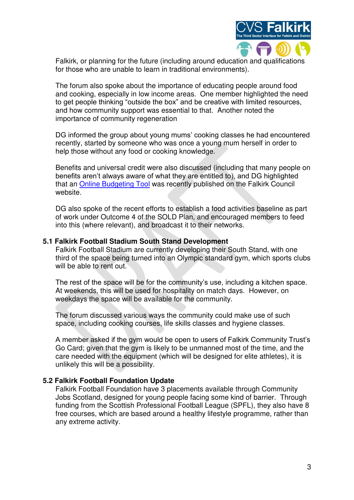

Falkirk, or planning for the future (including around education and qualifications for those who are unable to learn in traditional environments).

The forum also spoke about the importance of educating people around food and cooking, especially in low income areas. One member highlighted the need to get people thinking "outside the box" and be creative with limited resources, and how community support was essential to that. Another noted the importance of community regeneration

DG informed the group about young mums' cooking classes he had encountered recently, started by someone who was once a young mum herself in order to help those without any food or cooking knowledge.

Benefits and universal credit were also discussed (including that many people on benefits aren't always aware of what they are entitled to), and DG highlighted that an [Online Budgeting Tool](http://www.falkirk.gov.uk/services/benefits-support/) was recently published on the Falkirk Council website.

DG also spoke of the recent efforts to establish a food activities baseline as part of work under Outcome 4 of the SOLD Plan, and encouraged members to feed into this (where relevant), and broadcast it to their networks.

#### **5.1 Falkirk Football Stadium South Stand Development**

Falkirk Football Stadium are currently developing their South Stand, with one third of the space being turned into an Olympic standard gym, which sports clubs will be able to rent out.

The rest of the space will be for the community's use, including a kitchen space. At weekends, this will be used for hospitality on match days. However, on weekdays the space will be available for the community.

The forum discussed various ways the community could make use of such space, including cooking courses, life skills classes and hygiene classes.

A member asked if the gym would be open to users of Falkirk Community Trust's Go Card; given that the gym is likely to be unmanned most of the time, and the care needed with the equipment (which will be designed for elite athletes), it is unlikely this will be a possibility.

### **5.2 Falkirk Football Foundation Update**

Falkirk Football Foundation have 3 placements available through Community Jobs Scotland, designed for young people facing some kind of barrier. Through funding from the Scottish Professional Football League (SPFL), they also have 8 free courses, which are based around a healthy lifestyle programme, rather than any extreme activity.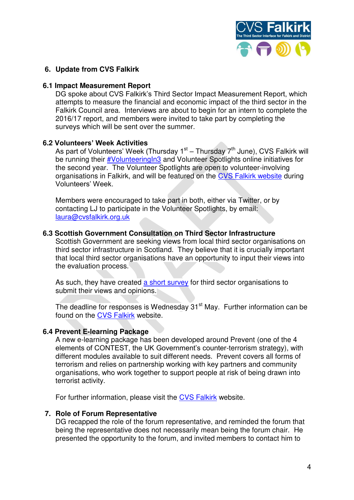

### **6. Update from CVS Falkirk**

#### **6.1 Impact Measurement Report**

DG spoke about CVS Falkirk's Third Sector Impact Measurement Report, which attempts to measure the financial and economic impact of the third sector in the Falkirk Council area. Interviews are about to begin for an intern to complete the 2016/17 report, and members were invited to take part by completing the surveys which will be sent over the summer.

### **6.2 Volunteers' Week Activities**

As part of Volunteers' Week (Thursday 1<sup>st</sup> – Thursday 7<sup>th</sup> June), CVS Falkirk will be running their [#VolunteeringIn3](https://twitter.com/search?q=VolunteeringIn3&src=typd) and Volunteer Spotlights online initiatives for the second year. The Volunteer Spotlights are open to volunteer-involving organisations in Falkirk, and will be featured on the [CVS Falkirk website](http://www.cvsfalkirk.org.uk/) during Volunteers' Week.

Members were encouraged to take part in both, either via Twitter, or by contacting LJ to participate in the Volunteer Spotlights, by email: [laura@cvsfalkirk.org.uk](mailto:laura@cvsfalkirk.org.uk) 

### **6.3 Scottish Government Consultation on Third Sector Infrastructure**

Scottish Government are seeking views from local third sector organisations on third sector infrastructure in Scotland. They believe that it is crucially important that local third sector organisations have an opportunity to input their views into the evaluation process.

As such, they have created [a short survey](https://www.surveymonkey.co.uk/r/SB7Y5QT) for third sector organisations to submit their views and opinions.

The deadline for responses is Wednesday 31<sup>st</sup> May. Further information can be found on the [CVS Falkirk](https://www.cvsfalkirk.org.uk/review-of-local-third-sector-infrastructure-in-scotland/) website.

### **6.4 Prevent E-learning Package**

A new e-learning package has been developed around Prevent (one of the 4 elements of CONTEST, the UK Government's counter-terrorism strategy), with different modules available to suit different needs. Prevent covers all forms of terrorism and relies on partnership working with key partners and community organisations, who work together to support people at risk of being drawn into terrorist activity.

For further information, please visit the [CVS Falkirk](https://www.cvsfalkirk.org.uk/prevent-e-learning-package/) website.

#### **7. Role of Forum Representative**

DG recapped the role of the forum representative, and reminded the forum that being the representative does not necessarily mean being the forum chair. He presented the opportunity to the forum, and invited members to contact him to